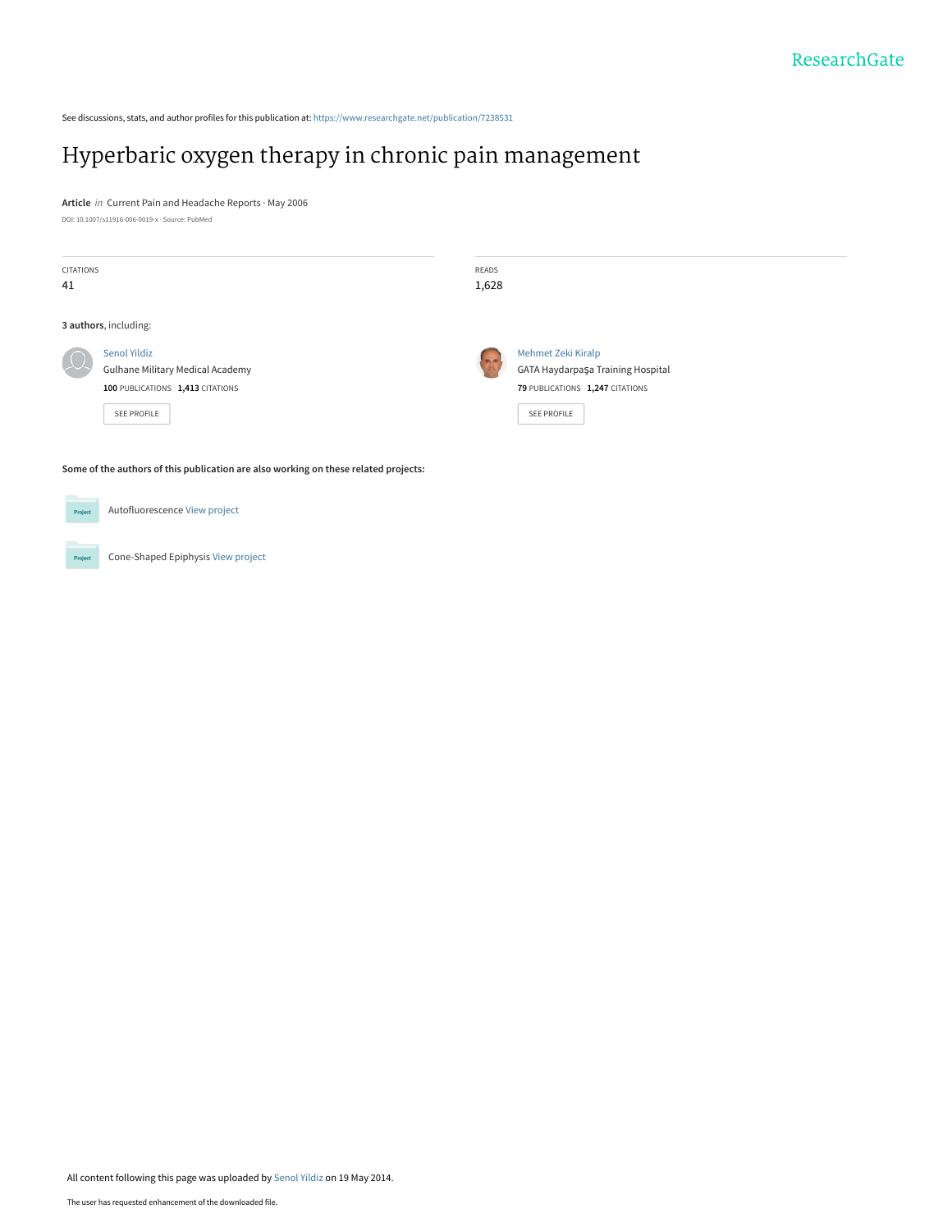See discussions, stats, and author profiles for this publication at: [https://www.researchgate.net/publication/7238531](https://www.researchgate.net/publication/7238531_Hyperbaric_oxygen_therapy_in_chronic_pain_management?enrichId=rgreq-60ce1e80b88ae28aee5e940ec9d37427-XXX&enrichSource=Y292ZXJQYWdlOzcyMzg1MzE7QVM6OTg1OTg0Njk1MDUwMjlAMTQwMDUxOTExNzA0OA%3D%3D&el=1_x_2&_esc=publicationCoverPdf)

# [Hyperbaric oxygen therapy in chronic pain management](https://www.researchgate.net/publication/7238531_Hyperbaric_oxygen_therapy_in_chronic_pain_management?enrichId=rgreq-60ce1e80b88ae28aee5e940ec9d37427-XXX&enrichSource=Y292ZXJQYWdlOzcyMzg1MzE7QVM6OTg1OTg0Njk1MDUwMjlAMTQwMDUxOTExNzA0OA%3D%3D&el=1_x_3&_esc=publicationCoverPdf)

**Article** in Current Pain and Headache Reports · May 2006 DOI: 10.1007/s11916-006-0019-x · Source: PubMed

| CITATIONS<br>41                                                                     |                                                                                                                   | READS<br>1,628 |                                                                                                                  |  |  |  |
|-------------------------------------------------------------------------------------|-------------------------------------------------------------------------------------------------------------------|----------------|------------------------------------------------------------------------------------------------------------------|--|--|--|
| 3 authors, including:                                                               |                                                                                                                   |                |                                                                                                                  |  |  |  |
|                                                                                     | <b>Senol Yildiz</b><br><b>Gulhane Military Medical Academy</b><br>100 PUBLICATIONS 1,413 CITATIONS<br>SEE PROFILE | 有 平            | Mehmet Zeki Kiralp<br>GATA Haydarpaşa Training Hospital<br>79 PUBLICATIONS 1,247 CITATIONS<br><b>SEE PROFILE</b> |  |  |  |
| Some of the authors of this publication are also working on these related projects: |                                                                                                                   |                |                                                                                                                  |  |  |  |

|  | <b>STATE</b> | <b>STATE</b> |  |
|--|--------------|--------------|--|

Cone-Shaped Epiphysis [View project](https://www.researchgate.net/project/Cone-Shaped-Epiphysis?enrichId=rgreq-60ce1e80b88ae28aee5e940ec9d37427-XXX&enrichSource=Y292ZXJQYWdlOzcyMzg1MzE7QVM6OTg1OTg0Njk1MDUwMjlAMTQwMDUxOTExNzA0OA%3D%3D&el=1_x_9&_esc=publicationCoverPdf)

Autofluorescence [View project](https://www.researchgate.net/project/Autofluorescence-3?enrichId=rgreq-60ce1e80b88ae28aee5e940ec9d37427-XXX&enrichSource=Y292ZXJQYWdlOzcyMzg1MzE7QVM6OTg1OTg0Njk1MDUwMjlAMTQwMDUxOTExNzA0OA%3D%3D&el=1_x_9&_esc=publicationCoverPdf)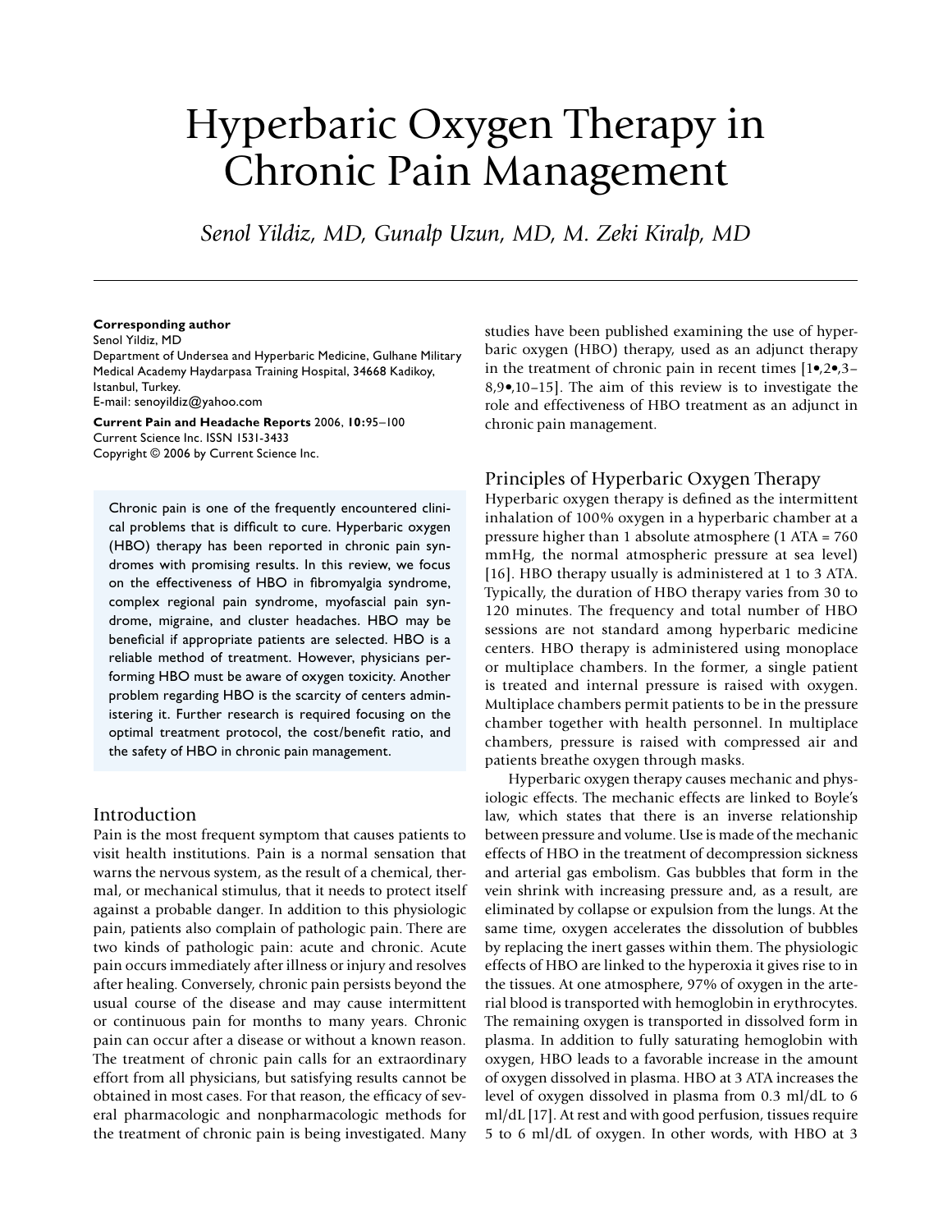# Hyperbaric Oxygen Therapy in Chronic Pain Management

*Senol Yildiz, MD, Gunalp Uzun, MD, M. Zeki Kiralp, MD*

#### **Corresponding author**

Senol Yildiz, MD

Department of Undersea and Hyperbaric Medicine, Gulhane Military Medical Academy Haydarpasa Training Hospital, 34668 Kadikoy, Istanbul, Turkey. E-mail: senoyildiz@yahoo.com

**Current Pain and Headache Reports** 2006, **10:**95–100 Current Science Inc. ISSN 1531-3433 Copyright © 2006 by Current Science Inc.

Chronic pain is one of the frequently encountered clinical problems that is difficult to cure. Hyperbaric oxygen (HBO) therapy has been reported in chronic pain syndromes with promising results. In this review, we focus on the effectiveness of HBO in fibromyalgia syndrome, complex regional pain syndrome, myofascial pain syndrome, migraine, and cluster headaches. HBO may be beneficial if appropriate patients are selected. HBO is a reliable method of treatment. However, physicians performing HBO must be aware of oxygen toxicity. Another problem regarding HBO is the scarcity of centers administering it. Further research is required focusing on the optimal treatment protocol, the cost/benefit ratio, and the safety of HBO in chronic pain management.

#### Introduction

Pain is the most frequent symptom that causes patients to visit health institutions. Pain is a normal sensation that warns the nervous system, as the result of a chemical, thermal, or mechanical stimulus, that it needs to protect itself against a probable danger. In addition to this physiologic pain, patients also complain of pathologic pain. There are two kinds of pathologic pain: acute and chronic. Acute pain occurs immediately after illness or injury and resolves after healing. Conversely, chronic pain persists beyond the usual course of the disease and may cause intermittent or continuous pain for months to many years. Chronic pain can occur after a disease or without a known reason. The treatment of chronic pain calls for an extraordinary effort from all physicians, but satisfying results cannot be obtained in most cases. For that reason, the efficacy of several pharmacologic and nonpharmacologic methods for the treatment of chronic pain is being investigated. Many

studies have been published examining the use of hyperbaric oxygen (HBO) therapy, used as an adjunct therapy in the treatment of chronic pain in recent times [1•,2•,3– 8,9•,10–15]. The aim of this review is to investigate the role and effectiveness of HBO treatment as an adjunct in chronic pain management.

## Principles of Hyperbaric Oxygen Therapy

Hyperbaric oxygen therapy is defined as the intermittent inhalation of 100% oxygen in a hyperbaric chamber at a pressure higher than 1 absolute atmosphere (1 ATA = 760 mmHg, the normal atmospheric pressure at sea level) [16]. HBO therapy usually is administered at 1 to 3 ATA. Typically, the duration of HBO therapy varies from 30 to 120 minutes. The frequency and total number of HBO sessions are not standard among hyperbaric medicine centers. HBO therapy is administered using monoplace or multiplace chambers. In the former, a single patient is treated and internal pressure is raised with oxygen. Multiplace chambers permit patients to be in the pressure chamber together with health personnel. In multiplace chambers, pressure is raised with compressed air and patients breathe oxygen through masks.

Hyperbaric oxygen therapy causes mechanic and physiologic effects. The mechanic effects are linked to Boyle's law, which states that there is an inverse relationship between pressure and volume. Use is made of the mechanic effects of HBO in the treatment of decompression sickness and arterial gas embolism. Gas bubbles that form in the vein shrink with increasing pressure and, as a result, are eliminated by collapse or expulsion from the lungs. At the same time, oxygen accelerates the dissolution of bubbles by replacing the inert gasses within them. The physiologic effects of HBO are linked to the hyperoxia it gives rise to in the tissues. At one atmosphere, 97% of oxygen in the arterial blood is transported with hemoglobin in erythrocytes. The remaining oxygen is transported in dissolved form in plasma. In addition to fully saturating hemoglobin with oxygen, HBO leads to a favorable increase in the amount of oxygen dissolved in plasma. HBO at 3 ATA increases the level of oxygen dissolved in plasma from 0.3 ml/dL to 6 ml/dL [17]. At rest and with good perfusion, tissues require 5 to 6 ml/dL of oxygen. In other words, with HBO at 3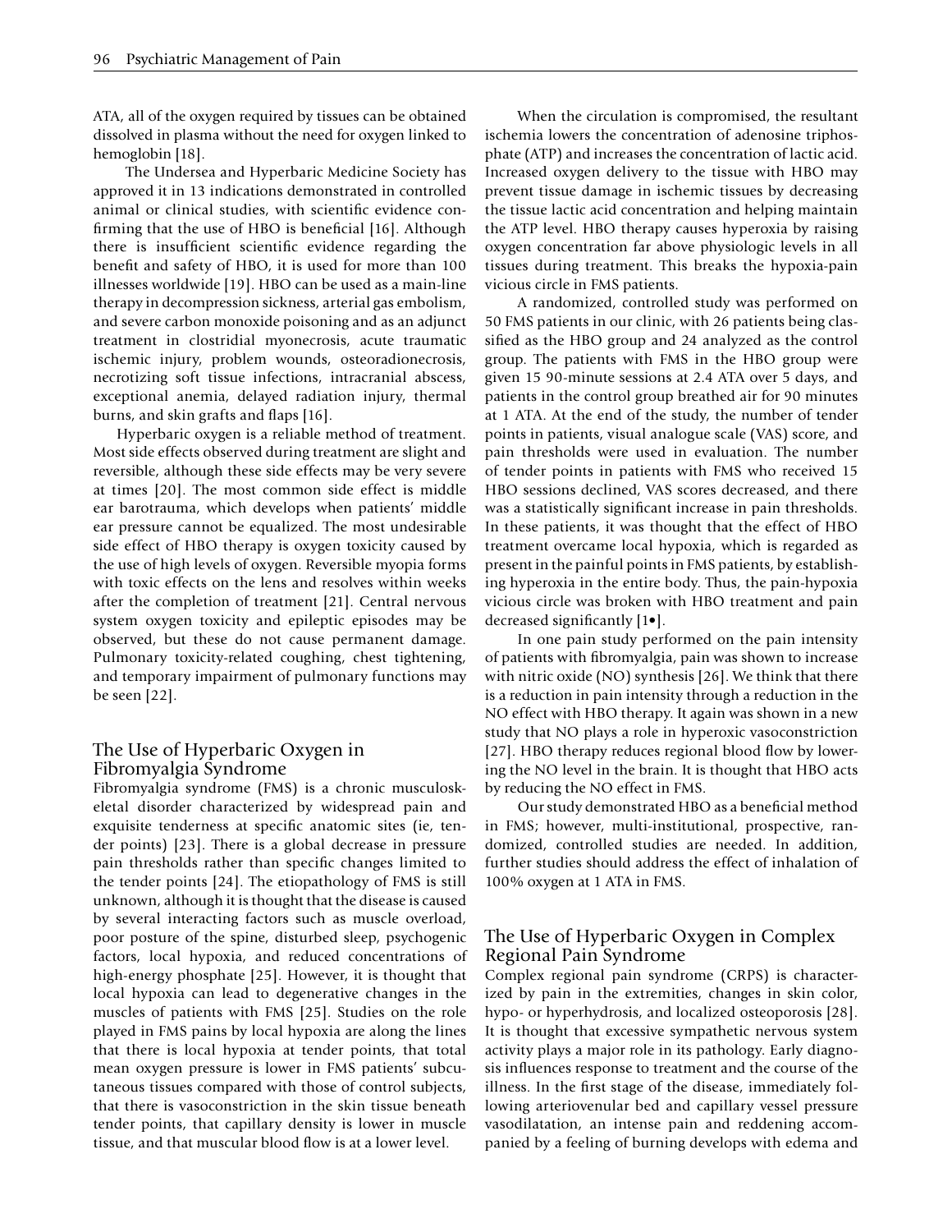ATA, all of the oxygen required by tissues can be obtained dissolved in plasma without the need for oxygen linked to hemoglobin [18].

 The Undersea and Hyperbaric Medicine Society has approved it in 13 indications demonstrated in controlled animal or clinical studies, with scientific evidence confirming that the use of HBO is beneficial [16]. Although there is insufficient scientific evidence regarding the benefit and safety of HBO, it is used for more than 100 illnesses worldwide [19]. HBO can be used as a main-line therapy in decompression sickness, arterial gas embolism, and severe carbon monoxide poisoning and as an adjunct treatment in clostridial myonecrosis, acute traumatic ischemic injury, problem wounds, osteoradionecrosis, necrotizing soft tissue infections, intracranial abscess, exceptional anemia, delayed radiation injury, thermal burns, and skin grafts and flaps [16].

Hyperbaric oxygen is a reliable method of treatment. Most side effects observed during treatment are slight and reversible, although these side effects may be very severe at times [20]. The most common side effect is middle ear barotrauma, which develops when patients' middle ear pressure cannot be equalized. The most undesirable side effect of HBO therapy is oxygen toxicity caused by the use of high levels of oxygen. Reversible myopia forms with toxic effects on the lens and resolves within weeks after the completion of treatment [21]. Central nervous system oxygen toxicity and epileptic episodes may be observed, but these do not cause permanent damage. Pulmonary toxicity-related coughing, chest tightening, and temporary impairment of pulmonary functions may be seen [22].

# The Use of Hyperbaric Oxygen in Fibromyalgia Syndrome

Fibromyalgia syndrome (FMS) is a chronic musculoskeletal disorder characterized by widespread pain and exquisite tenderness at specific anatomic sites (ie, tender points) [23]. There is a global decrease in pressure pain thresholds rather than specific changes limited to the tender points [24]. The etiopathology of FMS is still unknown, although it is thought that the disease is caused by several interacting factors such as muscle overload, poor posture of the spine, disturbed sleep, psychogenic factors, local hypoxia, and reduced concentrations of high-energy phosphate [25]. However, it is thought that local hypoxia can lead to degenerative changes in the muscles of patients with FMS [25]. Studies on the role played in FMS pains by local hypoxia are along the lines that there is local hypoxia at tender points, that total mean oxygen pressure is lower in FMS patients' subcutaneous tissues compared with those of control subjects, that there is vasoconstriction in the skin tissue beneath tender points, that capillary density is lower in muscle tissue, and that muscular blood flow is at a lower level.

 When the circulation is compromised, the resultant ischemia lowers the concentration of adenosine triphosphate (ATP) and increases the concentration of lactic acid. Increased oxygen delivery to the tissue with HBO may prevent tissue damage in ischemic tissues by decreasing the tissue lactic acid concentration and helping maintain the ATP level. HBO therapy causes hyperoxia by raising oxygen concentration far above physiologic levels in all tissues during treatment. This breaks the hypoxia-pain vicious circle in FMS patients.

 A randomized, controlled study was performed on 50 FMS patients in our clinic, with 26 patients being classified as the HBO group and 24 analyzed as the control group. The patients with FMS in the HBO group were given 15 90-minute sessions at 2.4 ATA over 5 days, and patients in the control group breathed air for 90 minutes at 1 ATA. At the end of the study, the number of tender points in patients, visual analogue scale (VAS) score, and pain thresholds were used in evaluation. The number of tender points in patients with FMS who received 15 HBO sessions declined, VAS scores decreased, and there was a statistically significant increase in pain thresholds. In these patients, it was thought that the effect of HBO treatment overcame local hypoxia, which is regarded as present in the painful points in FMS patients, by establishing hyperoxia in the entire body. Thus, the pain-hypoxia vicious circle was broken with HBO treatment and pain decreased significantly [1•].

 In one pain study performed on the pain intensity of patients with fibromyalgia, pain was shown to increase with nitric oxide (NO) synthesis [26]. We think that there is a reduction in pain intensity through a reduction in the NO effect with HBO therapy. It again was shown in a new study that NO plays a role in hyperoxic vasoconstriction [27]. HBO therapy reduces regional blood flow by lowering the NO level in the brain. It is thought that HBO acts by reducing the NO effect in FMS.

 Our study demonstrated HBO as a beneficial method in FMS; however, multi-institutional, prospective, randomized, controlled studies are needed. In addition, further studies should address the effect of inhalation of 100% oxygen at 1 ATA in FMS.

# The Use of Hyperbaric Oxygen in Complex Regional Pain Syndrome

Complex regional pain syndrome (CRPS) is characterized by pain in the extremities, changes in skin color, hypo- or hyperhydrosis, and localized osteoporosis [28]. It is thought that excessive sympathetic nervous system activity plays a major role in its pathology. Early diagnosis influences response to treatment and the course of the illness. In the first stage of the disease, immediately following arteriovenular bed and capillary vessel pressure vasodilatation, an intense pain and reddening accompanied by a feeling of burning develops with edema and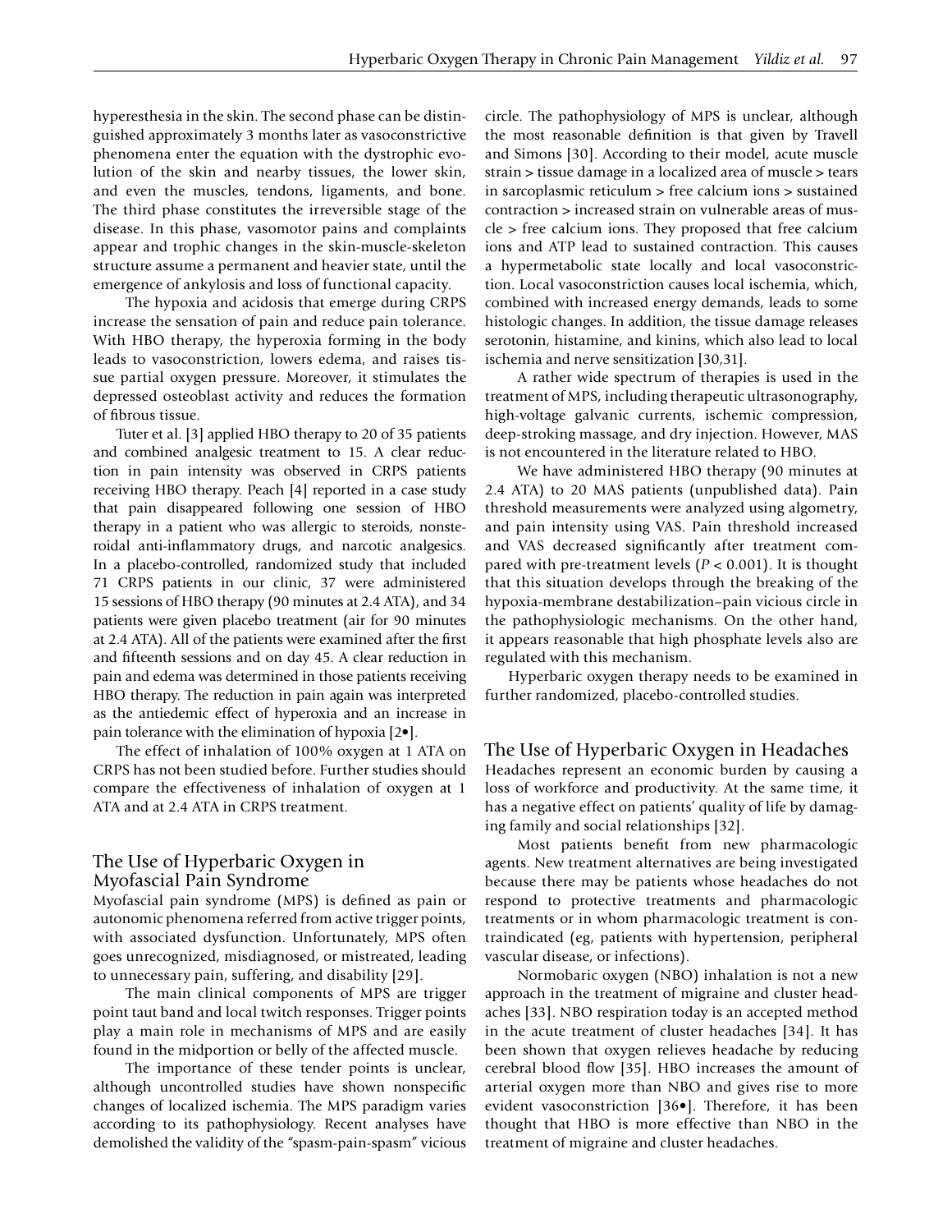hyperesthesia in the skin. The second phase can be distinguished approximately 3 months later as vasoconstrictive phenomena enter the equation with the dystrophic evolution of the skin and nearby tissues, the lower skin, and even the muscles, tendons, ligaments, and bone. The third phase constitutes the irreversible stage of the disease. In this phase, vasomotor pains and complaints appear and trophic changes in the skin-muscle-skeleton structure assume a permanent and heavier state, until the emergence of ankylosis and loss of functional capacity.

 The hypoxia and acidosis that emerge during CRPS increase the sensation of pain and reduce pain tolerance. With HBO therapy, the hyperoxia forming in the body leads to vasoconstriction, lowers edema, and raises tissue partial oxygen pressure. Moreover, it stimulates the depressed osteoblast activity and reduces the formation of fibrous tissue.

Tuter et al. [3] applied HBO therapy to 20 of 35 patients and combined analgesic treatment to 15. A clear reduction in pain intensity was observed in CRPS patients receiving HBO therapy. Peach [4] reported in a case study that pain disappeared following one session of HBO therapy in a patient who was allergic to steroids, nonsteroidal anti-inflammatory drugs, and narcotic analgesics. In a placebo-controlled, randomized study that included 71 CRPS patients in our clinic, 37 were administered 15 sessions of HBO therapy (90 minutes at 2.4 ATA), and 34 patients were given placebo treatment (air for 90 minutes at 2.4 ATA). All of the patients were examined after the first and fifteenth sessions and on day 45. A clear reduction in pain and edema was determined in those patients receiving HBO therapy. The reduction in pain again was interpreted as the antiedemic effect of hyperoxia and an increase in pain tolerance with the elimination of hypoxia [2•].

The effect of inhalation of 100% oxygen at 1 ATA on CRPS has not been studied before. Further studies should compare the effectiveness of inhalation of oxygen at 1 ATA and at 2.4 ATA in CRPS treatment.

### The Use of Hyperbaric Oxygen in Myofascial Pain Syndrome

Myofascial pain syndrome (MPS) is defined as pain or autonomic phenomena referred from active trigger points, with associated dysfunction. Unfortunately, MPS often goes unrecognized, misdiagnosed, or mistreated, leading to unnecessary pain, suffering, and disability [29].

 The main clinical components of MPS are trigger point taut band and local twitch responses. Trigger points play a main role in mechanisms of MPS and are easily found in the midportion or belly of the affected muscle.

 The importance of these tender points is unclear, although uncontrolled studies have shown nonspecific changes of localized ischemia. The MPS paradigm varies according to its pathophysiology. Recent analyses have demolished the validity of the "spasm-pain-spasm" vicious

circle. The pathophysiology of MPS is unclear, although the most reasonable definition is that given by Travell and Simons [30]. According to their model, acute muscle strain > tissue damage in a localized area of muscle > tears in sarcoplasmic reticulum > free calcium ions > sustained contraction > increased strain on vulnerable areas of muscle > free calcium ions. They proposed that free calcium ions and ATP lead to sustained contraction. This causes a hypermetabolic state locally and local vasoconstriction. Local vasoconstriction causes local ischemia, which, combined with increased energy demands, leads to some histologic changes. In addition, the tissue damage releases serotonin, histamine, and kinins, which also lead to local ischemia and nerve sensitization [30,31].

 A rather wide spectrum of therapies is used in the treatment of MPS, including therapeutic ultrasonography, high-voltage galvanic currents, ischemic compression, deep-stroking massage, and dry injection. However, MAS is not encountered in the literature related to HBO.

 We have administered HBO therapy (90 minutes at 2.4 ATA) to 20 MAS patients (unpublished data). Pain threshold measurements were analyzed using algometry, and pain intensity using VAS. Pain threshold increased and VAS decreased significantly after treatment compared with pre-treatment levels (*P* < 0.001). It is thought that this situation develops through the breaking of the hypoxia-membrane destabilization–pain vicious circle in the pathophysiologic mechanisms. On the other hand, it appears reasonable that high phosphate levels also are regulated with this mechanism.

Hyperbaric oxygen therapy needs to be examined in further randomized, placebo-controlled studies.

#### The Use of Hyperbaric Oxygen in Headaches

Headaches represent an economic burden by causing a loss of workforce and productivity. At the same time, it has a negative effect on patients' quality of life by damaging family and social relationships [32].

 Most patients benefit from new pharmacologic agents. New treatment alternatives are being investigated because there may be patients whose headaches do not respond to protective treatments and pharmacologic treatments or in whom pharmacologic treatment is contraindicated (eg, patients with hypertension, peripheral vascular disease, or infections).

 Normobaric oxygen (NBO) inhalation is not a new approach in the treatment of migraine and cluster headaches [33]. NBO respiration today is an accepted method in the acute treatment of cluster headaches [34]. It has been shown that oxygen relieves headache by reducing cerebral blood flow [35]. HBO increases the amount of arterial oxygen more than NBO and gives rise to more evident vasoconstriction [36•]. Therefore, it has been thought that HBO is more effective than NBO in the treatment of migraine and cluster headaches.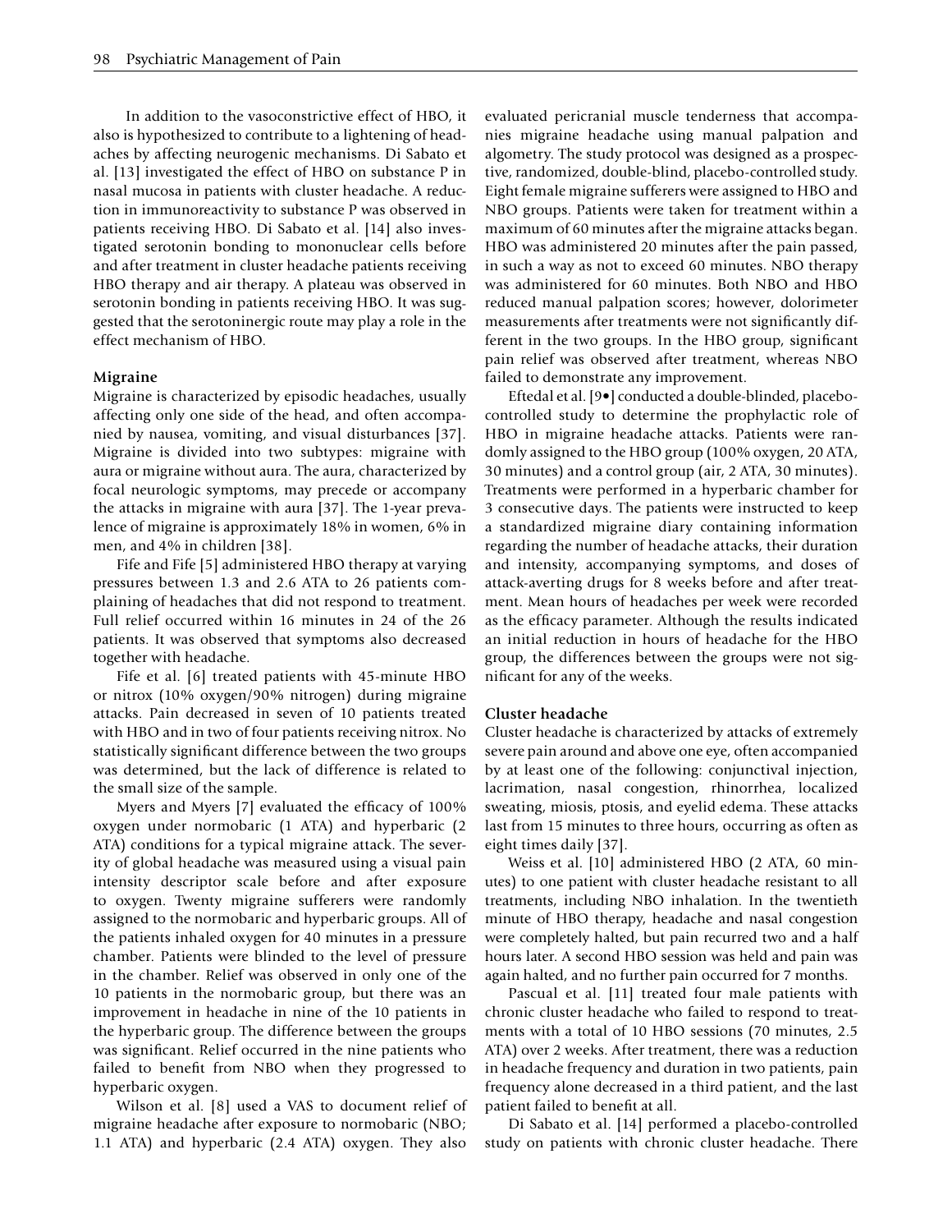In addition to the vasoconstrictive effect of HBO, it also is hypothesized to contribute to a lightening of headaches by affecting neurogenic mechanisms. Di Sabato et al. [13] investigated the effect of HBO on substance P in nasal mucosa in patients with cluster headache. A reduction in immunoreactivity to substance P was observed in patients receiving HBO. Di Sabato et al. [14] also investigated serotonin bonding to mononuclear cells before and after treatment in cluster headache patients receiving HBO therapy and air therapy. A plateau was observed in serotonin bonding in patients receiving HBO. It was suggested that the serotoninergic route may play a role in the effect mechanism of HBO.

#### **Migraine**

Migraine is characterized by episodic headaches, usually affecting only one side of the head, and often accompanied by nausea, vomiting, and visual disturbances [37]. Migraine is divided into two subtypes: migraine with aura or migraine without aura. The aura, characterized by focal neurologic symptoms, may precede or accompany the attacks in migraine with aura [37]. The 1-year prevalence of migraine is approximately 18% in women, 6% in men, and 4% in children [38].

Fife and Fife [5] administered HBO therapy at varying pressures between 1.3 and 2.6 ATA to 26 patients complaining of headaches that did not respond to treatment. Full relief occurred within 16 minutes in 24 of the 26 patients. It was observed that symptoms also decreased together with headache.

Fife et al. [6] treated patients with 45-minute HBO or nitrox (10% oxygen/90% nitrogen) during migraine attacks. Pain decreased in seven of 10 patients treated with HBO and in two of four patients receiving nitrox. No statistically significant difference between the two groups was determined, but the lack of difference is related to the small size of the sample.

Myers and Myers [7] evaluated the efficacy of 100% oxygen under normobaric (1 ATA) and hyperbaric (2 ATA) conditions for a typical migraine attack. The severity of global headache was measured using a visual pain intensity descriptor scale before and after exposure to oxygen. Twenty migraine sufferers were randomly assigned to the normobaric and hyperbaric groups. All of the patients inhaled oxygen for 40 minutes in a pressure chamber. Patients were blinded to the level of pressure in the chamber. Relief was observed in only one of the 10 patients in the normobaric group, but there was an improvement in headache in nine of the 10 patients in the hyperbaric group. The difference between the groups was significant. Relief occurred in the nine patients who failed to benefit from NBO when they progressed to hyperbaric oxygen.

Wilson et al. [8] used a VAS to document relief of migraine headache after exposure to normobaric (NBO; 1.1 ATA) and hyperbaric (2.4 ATA) oxygen. They also

evaluated pericranial muscle tenderness that accompanies migraine headache using manual palpation and algometry. The study protocol was designed as a prospective, randomized, double-blind, placebo-controlled study. Eight female migraine sufferers were assigned to HBO and NBO groups. Patients were taken for treatment within a maximum of 60 minutes after the migraine attacks began. HBO was administered 20 minutes after the pain passed, in such a way as not to exceed 60 minutes. NBO therapy was administered for 60 minutes. Both NBO and HBO reduced manual palpation scores; however, dolorimeter measurements after treatments were not significantly different in the two groups. In the HBO group, significant pain relief was observed after treatment, whereas NBO failed to demonstrate any improvement.

Eftedal et al. [9•] conducted a double-blinded, placebocontrolled study to determine the prophylactic role of HBO in migraine headache attacks. Patients were randomly assigned to the HBO group (100% oxygen, 20 ATA, 30 minutes) and a control group (air, 2 ATA, 30 minutes). Treatments were performed in a hyperbaric chamber for 3 consecutive days. The patients were instructed to keep a standardized migraine diary containing information regarding the number of headache attacks, their duration and intensity, accompanying symptoms, and doses of attack-averting drugs for 8 weeks before and after treatment. Mean hours of headaches per week were recorded as the efficacy parameter. Although the results indicated an initial reduction in hours of headache for the HBO group, the differences between the groups were not significant for any of the weeks.

#### **Cluster headache**

Cluster headache is characterized by attacks of extremely severe pain around and above one eye, often accompanied by at least one of the following: conjunctival injection, lacrimation, nasal congestion, rhinorrhea, localized sweating, miosis, ptosis, and eyelid edema. These attacks last from 15 minutes to three hours, occurring as often as eight times daily [37].

Weiss et al. [10] administered HBO (2 ATA, 60 minutes) to one patient with cluster headache resistant to all treatments, including NBO inhalation. In the twentieth minute of HBO therapy, headache and nasal congestion were completely halted, but pain recurred two and a half hours later. A second HBO session was held and pain was again halted, and no further pain occurred for 7 months.

Pascual et al. [11] treated four male patients with chronic cluster headache who failed to respond to treatments with a total of 10 HBO sessions (70 minutes, 2.5 ATA) over 2 weeks. After treatment, there was a reduction in headache frequency and duration in two patients, pain frequency alone decreased in a third patient, and the last patient failed to benefit at all.

Di Sabato et al. [14] performed a placebo-controlled study on patients with chronic cluster headache. There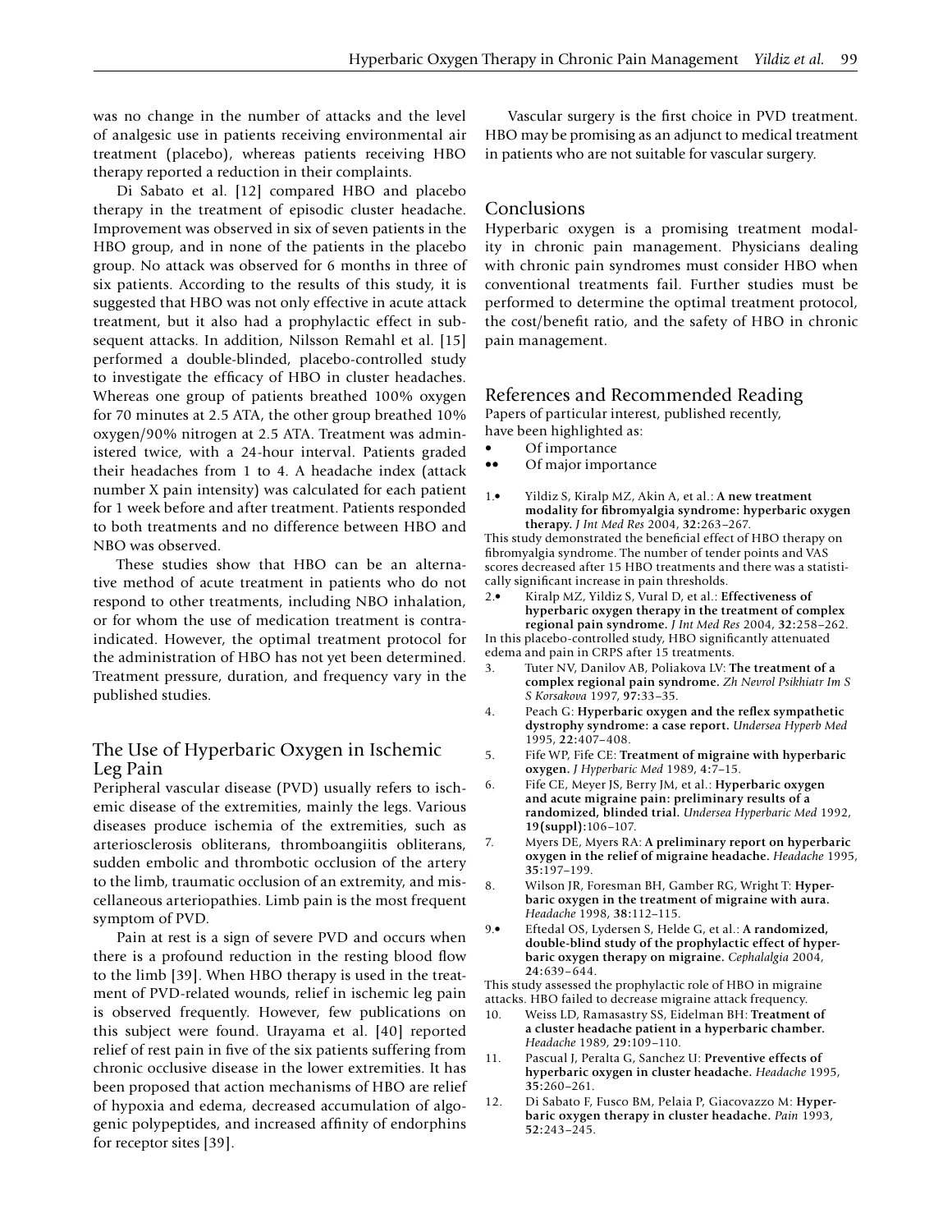was no change in the number of attacks and the level of analgesic use in patients receiving environmental air treatment (placebo), whereas patients receiving HBO therapy reported a reduction in their complaints.

Di Sabato et al. [12] compared HBO and placebo therapy in the treatment of episodic cluster headache. Improvement was observed in six of seven patients in the HBO group, and in none of the patients in the placebo group. No attack was observed for 6 months in three of six patients. According to the results of this study, it is suggested that HBO was not only effective in acute attack treatment, but it also had a prophylactic effect in subsequent attacks. In addition, Nilsson Remahl et al. [15] performed a double-blinded, placebo-controlled study to investigate the efficacy of HBO in cluster headaches. Whereas one group of patients breathed 100% oxygen for 70 minutes at 2.5 ATA, the other group breathed 10% oxygen/90% nitrogen at 2.5 ATA. Treatment was administered twice, with a 24-hour interval. Patients graded their headaches from 1 to 4. A headache index (attack number X pain intensity) was calculated for each patient for 1 week before and after treatment. Patients responded to both treatments and no difference between HBO and NBO was observed.

These studies show that HBO can be an alternative method of acute treatment in patients who do not respond to other treatments, including NBO inhalation, or for whom the use of medication treatment is contraindicated. However, the optimal treatment protocol for the administration of HBO has not yet been determined. Treatment pressure, duration, and frequency vary in the published studies.

# The Use of Hyperbaric Oxygen in Ischemic Leg Pain

Peripheral vascular disease (PVD) usually refers to ischemic disease of the extremities, mainly the legs. Various diseases produce ischemia of the extremities, such as arteriosclerosis obliterans, thromboangiitis obliterans, sudden embolic and thrombotic occlusion of the artery to the limb, traumatic occlusion of an extremity, and miscellaneous arteriopathies. Limb pain is the most frequent symptom of PVD.

Pain at rest is a sign of severe PVD and occurs when there is a profound reduction in the resting blood flow to the limb [39]. When HBO therapy is used in the treatment of PVD-related wounds, relief in ischemic leg pain is observed frequently. However, few publications on this subject were found. Urayama et al. [40] reported relief of rest pain in five of the six patients suffering from chronic occlusive disease in the lower extremities. It has been proposed that action mechanisms of HBO are relief of hypoxia and edema, decreased accumulation of algogenic polypeptides, and increased affinity of endorphins for receptor sites [39].

Vascular surgery is the first choice in PVD treatment. HBO may be promising as an adjunct to medical treatment in patients who are not suitable for vascular surgery.

#### Conclusions

Hyperbaric oxygen is a promising treatment modality in chronic pain management. Physicians dealing with chronic pain syndromes must consider HBO when conventional treatments fail. Further studies must be performed to determine the optimal treatment protocol, the cost/benefit ratio, and the safety of HBO in chronic pain management.

#### References and Recommended Reading

Papers of particular interest, published recently, have been highlighted as:

- Of importance
- •• Of major importance
- 1.• Yildiz S, Kiralp MZ, Akin A, et al.: **A new treatment modality for fibromyalgia syndrome: hyperbaric oxygen therapy.** *J Int Med Res* 2004, **32:**263–267.

This study demonstrated the beneficial effect of HBO therapy on fibromyalgia syndrome. The number of tender points and VAS scores decreased after 15 HBO treatments and there was a statistically significant increase in pain thresholds.

2.• Kiralp MZ, Yildiz S, Vural D, et al.: **Effectiveness of hyperbaric oxygen therapy in the treatment of complex regional pain syndrome.** *J Int Med Res* 2004, **32:**258–262.

In this placebo-controlled study, HBO significantly attenuated edema and pain in CRPS after 15 treatments.

- 3. Tuter NV, Danilov AB, Poliakova LV: **The treatment of a complex regional pain syndrome.** *Zh Nevrol Psikhiatr Im S S Korsakova* 1997, **97:**33–35.
- 4. Peach G: **Hyperbaric oxygen and the reflex sympathetic dystrophy syndrome: a case report.** *Undersea Hyperb Med*  1995, **22:**407–408.
- 5. Fife WP, Fife CE: **Treatment of migraine with hyperbaric oxygen.** *J Hyperbaric Med* 1989, **4:**7–15.
- 6. Fife CE, Meyer JS, Berry JM, et al.: **Hyperbaric oxygen and acute migraine pain: preliminary results of a randomized, blinded trial.** *Undersea Hyperbaric Med* 1992, **19(suppl):**106–107.
- 7. Myers DE, Myers RA: **A preliminary report on hyperbaric oxygen in the relief of migraine headache.** *Headache* 1995, **35:**197–199.
- 8. Wilson JR, Foresman BH, Gamber RG, Wright T: **Hyperbaric oxygen in the treatment of migraine with aura.**  *Headache* 1998, **38:**112–115.
- 9.• Eftedal OS, Lydersen S, Helde G, et al.: **A randomized, double-blind study of the prophylactic effect of hyperbaric oxygen therapy on migraine.** *Cephalalgia* 2004, **24:**639–644.

This study assessed the prophylactic role of HBO in migraine attacks. HBO failed to decrease migraine attack frequency.

- 10. Weiss LD, Ramasastry SS, Eidelman BH: **Treatment of a cluster headache patient in a hyperbaric chamber.**  *Headache* 1989, **29:**109–110.
- 11. Pascual J, Peralta G, Sanchez U: **Preventive effects of hyperbaric oxygen in cluster headache.** *Headache* 1995, **35:**260–261.
- 12. Di Sabato F, Fusco BM, Pelaia P, Giacovazzo M: **Hyperbaric oxygen therapy in cluster headache.** *Pain* 1993, **52:**243–245.